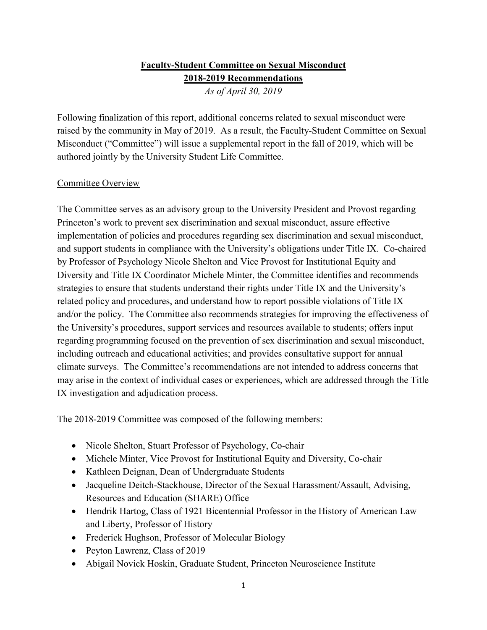## **Faculty-Student Committee on Sexual Misconduct 2018-2019 Recommendations**

*As of April 30, 2019*

Following finalization of this report, additional concerns related to sexual misconduct were raised by the community in May of 2019. As a result, the Faculty-Student Committee on Sexual Misconduct ("Committee") will issue a supplemental report in the fall of 2019, which will be authored jointly by the University Student Life Committee.

## Committee Overview

The Committee serves as an advisory group to the University President and Provost regarding Princeton's work to prevent sex discrimination and sexual misconduct, assure effective implementation of policies and procedures regarding sex discrimination and sexual misconduct, and support students in compliance with the University's obligations under Title IX. Co-chaired by Professor of Psychology Nicole Shelton and Vice Provost for Institutional Equity and Diversity and Title IX Coordinator Michele Minter, the Committee identifies and recommends strategies to ensure that students understand their rights under Title IX and the University's related policy and procedures, and understand how to report possible violations of Title IX and/or the policy. The Committee also recommends strategies for improving the effectiveness of the University's procedures, support services and resources available to students; offers input regarding programming focused on the prevention of sex discrimination and sexual misconduct, including outreach and educational activities; and provides consultative support for annual climate surveys. The Committee's recommendations are not intended to address concerns that may arise in the context of individual cases or experiences, which are addressed through the Title IX investigation and adjudication process.

The 2018-2019 Committee was composed of the following members:

- Nicole Shelton, Stuart Professor of Psychology, Co-chair
- Michele Minter, Vice Provost for Institutional Equity and Diversity, Co-chair
- Kathleen Deignan, Dean of Undergraduate Students
- Jacqueline Deitch-Stackhouse, Director of the Sexual Harassment/Assault, Advising, Resources and Education (SHARE) Office
- Hendrik Hartog, Class of 1921 Bicentennial Professor in the History of American Law and Liberty, Professor of History
- Frederick Hughson, Professor of Molecular Biology
- Peyton Lawrenz, Class of 2019
- Abigail Novick Hoskin, Graduate Student, Princeton Neuroscience Institute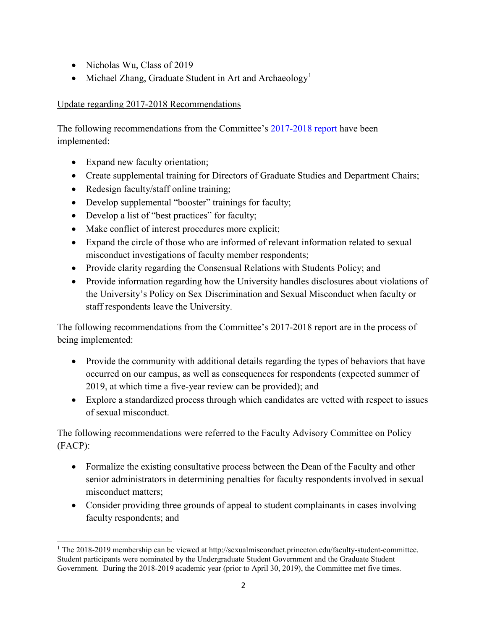- Nicholas Wu, Class of 2019
- Michael Zhang, Graduate Student in Art and Archaeology<sup>[1](#page-1-0)</sup>

## Update regarding 2017-2018 Recommendations

The following recommendations from the Committee's [2017-2018 report](https://sexualmisconduct.princeton.edu/sites/sexualmisconduct/files/faculty-student_advisory_committee_on_sexual_misconduct_2017-2018_recommendations.pdf) have been implemented:

• Expand new faculty orientation;

l

- Create supplemental training for Directors of Graduate Studies and Department Chairs;
- Redesign faculty/staff online training;
- Develop supplemental "booster" trainings for faculty;
- Develop a list of "best practices" for faculty;
- Make conflict of interest procedures more explicit;
- Expand the circle of those who are informed of relevant information related to sexual misconduct investigations of faculty member respondents;
- Provide clarity regarding the Consensual Relations with Students Policy; and
- Provide information regarding how the University handles disclosures about violations of the University's Policy on Sex Discrimination and Sexual Misconduct when faculty or staff respondents leave the University.

The following recommendations from the Committee's 2017-2018 report are in the process of being implemented:

- Provide the community with additional details regarding the types of behaviors that have occurred on our campus, as well as consequences for respondents (expected summer of 2019, at which time a five-year review can be provided); and
- Explore a standardized process through which candidates are vetted with respect to issues of sexual misconduct.

The following recommendations were referred to the Faculty Advisory Committee on Policy (FACP):

- Formalize the existing consultative process between the Dean of the Faculty and other senior administrators in determining penalties for faculty respondents involved in sexual misconduct matters;
- Consider providing three grounds of appeal to student complainants in cases involving faculty respondents; and

<span id="page-1-0"></span><sup>1</sup> The 2018-2019 membership can be viewed at http://sexualmisconduct.princeton.edu/faculty-student-committee. Student participants were nominated by the Undergraduate Student Government and the Graduate Student Government. During the 2018-2019 academic year (prior to April 30, 2019), the Committee met five times.